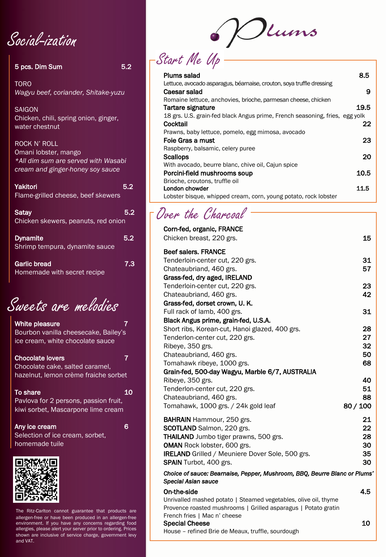Social-ization

| 5 pcs. Dim Sum                                                                                                         | 5.2 |
|------------------------------------------------------------------------------------------------------------------------|-----|
| <b>TORO</b><br>Wagyu beef, coriander, Shitake-yuzu                                                                     |     |
| <b>SAIGON</b><br>Chicken, chili, spring onion, ginger,<br>water chestnut                                               |     |
| <b>ROCK N' ROLL</b><br>Omani lobster, mango<br>*All dim sum are served with Wasabi<br>cream and ginger-honey soy sauce |     |
| Yakitori<br>Flame-grilled cheese, beef skewers                                                                         | 5.2 |
| <b>Satay</b><br>Chicken skewers, peanuts, red onion                                                                    | 5.2 |
| Dynamita                                                                                                               | κ ο |

Dynamite 5.2 Shrimp tempura, dynamite sauce

Garlic bread 7.3 Homemade with secret recipe

Sweets are melodies

White pleasure 7 and 7 Bourbon vanilla cheesecake, Bailey's ice cream, white chocolate sauce

Chocolate lovers 7 Chocolate cake, salted caramel, hazelnut, lemon crème fraiche sorbet

To share 10 and 10 and 10 and 10 and 10 and 10 and 10 and 10 and 10 and 10 and 10 and 10 and 10 and 10 and 10 and 10 and 10 and 10 and 10 and 10 and 10 and 10 and 10 and 10 and 10 and 10 and 10 and 10 and 10 and 10 and 10 Pavlova for 2 persons, passion fruit, kiwi sorbet, Mascarpone lime cream

Any ice cream 6 Selection of ice cream, sorbet, homemade tuile



The Ritz-Carlton cannot guarantee that products are allergen-free or have been produced in an allergen-free environment. If you have any concerns regarding food allergies, please alert your server prior to ordering. Prices shown are inclusive of service charge, government levy and VAT.

Dums Start Me Up

| Plums salad                                                                 | 8.5  |
|-----------------------------------------------------------------------------|------|
| Lettuce, avocado asparagus, béarnaise, crouton, soya truffle dressing       |      |
| Caesar salad                                                                | 9    |
| Romaine lettuce, anchovies, brioche, parmesan cheese, chicken               |      |
| Tartare signature                                                           | 19.5 |
| 18 grs. U.S. grain-fed black Angus prime, French seasoning, fries, egg yolk |      |
| Cocktail                                                                    | 22   |
| Prawns, baby lettuce, pomelo, egg mimosa, avocado                           |      |
| Foie Gras a must                                                            | 23   |
| Raspberry, balsamic, celery puree                                           |      |
| <b>Scallops</b>                                                             | 20   |
| With avocado, beurre blanc, chive oil, Cajun spice                          |      |
| Porcini-field mushrooms soup                                                | 10.5 |
| Brioche, croutons, truffle oil                                              |      |
| London chowder                                                              | 11.5 |
| Lobster bisque, whipped cream, corn, young potato, rock lobster             |      |

## Over the Charcoal

| Corn-fed, organic, FRANCE                                                                                                                                         |          |
|-------------------------------------------------------------------------------------------------------------------------------------------------------------------|----------|
| Chicken breast, 220 grs.                                                                                                                                          | 15       |
| <b>Beef salers. FRANCE</b>                                                                                                                                        |          |
| Tenderloin-center cut, 220 grs.                                                                                                                                   | 31       |
| Chateaubriand, 460 grs.                                                                                                                                           | 57       |
| Grass-fed, dry aged, IRELAND                                                                                                                                      |          |
| Tenderloin-center cut, 220 grs.                                                                                                                                   | 23       |
| Chateaubriand, 460 grs.                                                                                                                                           | 42       |
| Grass-fed, dorset crown, U.K.                                                                                                                                     |          |
| Full rack of lamb, 400 grs.                                                                                                                                       | 31       |
| Black Angus prime, grain-fed, U.S.A.                                                                                                                              |          |
| Short ribs, Korean-cut, Hanoi glazed, 400 grs.                                                                                                                    | 28       |
| Tenderlon-center cut, 220 grs.                                                                                                                                    | 27       |
| Ribeye, 350 grs.                                                                                                                                                  | 32       |
| Chateaubriand, 460 grs.                                                                                                                                           | 50       |
| Tomahawk ribeye, 1000 grs.                                                                                                                                        | 68       |
| Grain-fed, 500-day Wagyu, Marble 6/7, AUSTRALIA                                                                                                                   |          |
| Ribeye, 350 grs.                                                                                                                                                  | 40       |
| Tenderlon-center cut, 220 grs.                                                                                                                                    | 51       |
| Chateaubriand, 460 grs.                                                                                                                                           | 88       |
| Tomahawk, 1000 grs. / 24k gold leaf                                                                                                                               | 80 / 100 |
| <b>BAHRAIN</b> Hammour, 250 grs.                                                                                                                                  | 21       |
| SCOTLAND Salmon, 220 grs.                                                                                                                                         | 22       |
| <b>THAILAND</b> Jumbo tiger prawns, 500 grs.                                                                                                                      | 28       |
| <b>OMAN</b> Rock lobster, 600 grs.                                                                                                                                | 30       |
| <b>IRELAND</b> Grilled / Meuniere Dover Sole, 500 grs.                                                                                                            | 35       |
| SPAIN Turbot, 400 grs.                                                                                                                                            | 30       |
| Choice of sauce: Bearnaise, Pepper, Mushroom, BBQ, Beurre Blanc or Plums'<br>Special Asian sauce                                                                  |          |
| On-the-side                                                                                                                                                       | 4.5      |
| Unrivalled mashed potato   Steamed vegetables, olive oil, thyme<br>Provence roasted mushrooms   Grilled asparagus   Potato gratin<br>French fries   Mac n' cheese |          |
| <b>Special Cheese</b>                                                                                                                                             | 10       |
| House - refined Brie de Meaux, truffle, sourdough                                                                                                                 |          |